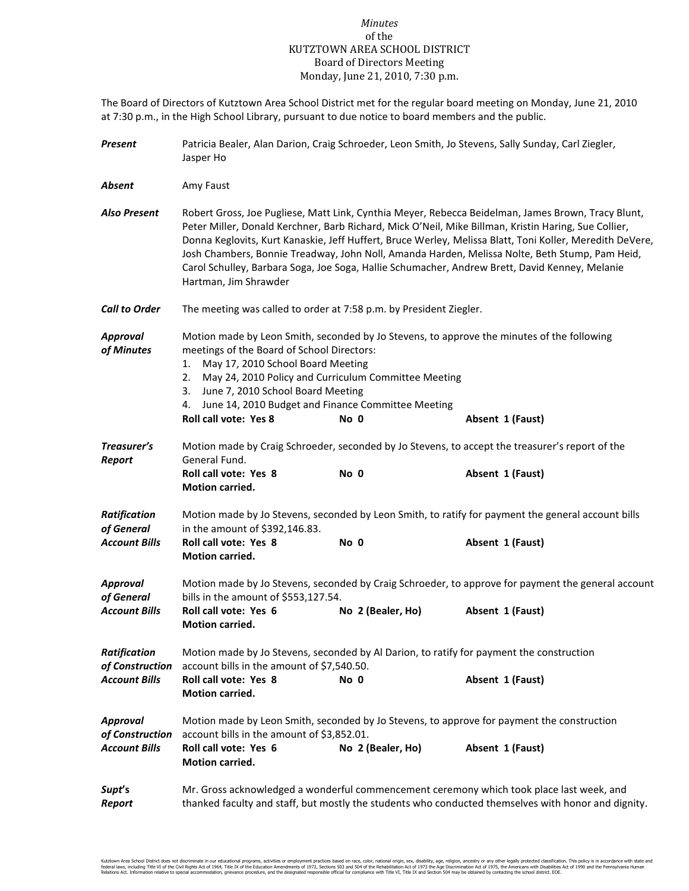## *Minutes* of the KUTZTOWN AREA SCHOOL DISTRICT Board of Directors Meeting Monday, June 21, 2010, 7:30 p.m.

The Board of Directors of Kutztown Area School District met for the regular board meeting on Monday, June 21, 2010 at 7:30 p.m., in the High School Library, pursuant to due notice to board members and the public.

| Present                            | Patricia Bealer, Alan Darion, Craig Schroeder, Leon Smith, Jo Stevens, Sally Sunday, Carl Ziegler,<br>Jasper Ho                                                                                                                                                                                                                                                                                                                                                                                                                                     |                   |                                                                                                 |  |  |  |
|------------------------------------|-----------------------------------------------------------------------------------------------------------------------------------------------------------------------------------------------------------------------------------------------------------------------------------------------------------------------------------------------------------------------------------------------------------------------------------------------------------------------------------------------------------------------------------------------------|-------------------|-------------------------------------------------------------------------------------------------|--|--|--|
| Absent                             | Amy Faust                                                                                                                                                                                                                                                                                                                                                                                                                                                                                                                                           |                   |                                                                                                 |  |  |  |
| <b>Also Present</b>                | Robert Gross, Joe Pugliese, Matt Link, Cynthia Meyer, Rebecca Beidelman, James Brown, Tracy Blunt,<br>Peter Miller, Donald Kerchner, Barb Richard, Mick O'Neil, Mike Billman, Kristin Haring, Sue Collier,<br>Donna Keglovits, Kurt Kanaskie, Jeff Huffert, Bruce Werley, Melissa Blatt, Toni Koller, Meredith DeVere,<br>Josh Chambers, Bonnie Treadway, John Noll, Amanda Harden, Melissa Nolte, Beth Stump, Pam Heid,<br>Carol Schulley, Barbara Soga, Joe Soga, Hallie Schumacher, Andrew Brett, David Kenney, Melanie<br>Hartman, Jim Shrawder |                   |                                                                                                 |  |  |  |
| <b>Call to Order</b>               | The meeting was called to order at 7:58 p.m. by President Ziegler.                                                                                                                                                                                                                                                                                                                                                                                                                                                                                  |                   |                                                                                                 |  |  |  |
| <b>Approval</b><br>of Minutes      | Motion made by Leon Smith, seconded by Jo Stevens, to approve the minutes of the following<br>meetings of the Board of School Directors:<br>May 17, 2010 School Board Meeting<br>1.<br>May 24, 2010 Policy and Curriculum Committee Meeting<br>2.<br>June 7, 2010 School Board Meeting<br>3.<br>June 14, 2010 Budget and Finance Committee Meeting<br>4.<br>Roll call vote: Yes 8<br>Absent 1 (Faust)<br>No 0                                                                                                                                       |                   |                                                                                                 |  |  |  |
| Treasurer's                        |                                                                                                                                                                                                                                                                                                                                                                                                                                                                                                                                                     |                   | Motion made by Craig Schroeder, seconded by Jo Stevens, to accept the treasurer's report of the |  |  |  |
| Report                             | General Fund.<br>Roll call vote: Yes 8<br>Motion carried.                                                                                                                                                                                                                                                                                                                                                                                                                                                                                           | No 0              | Absent 1 (Faust)                                                                                |  |  |  |
| <b>Ratification</b><br>of General  | Motion made by Jo Stevens, seconded by Leon Smith, to ratify for payment the general account bills<br>in the amount of \$392,146.83.                                                                                                                                                                                                                                                                                                                                                                                                                |                   |                                                                                                 |  |  |  |
| <b>Account Bills</b>               | Roll call vote: Yes 8<br>Motion carried.                                                                                                                                                                                                                                                                                                                                                                                                                                                                                                            | No 0              | Absent 1 (Faust)                                                                                |  |  |  |
| <b>Approval</b><br>of General      | Motion made by Jo Stevens, seconded by Craig Schroeder, to approve for payment the general account<br>bills in the amount of \$553,127.54.                                                                                                                                                                                                                                                                                                                                                                                                          |                   |                                                                                                 |  |  |  |
| <b>Account Bills</b>               | Roll call vote: Yes 6<br><b>Motion carried.</b>                                                                                                                                                                                                                                                                                                                                                                                                                                                                                                     | No 2 (Bealer, Ho) | Absent 1 (Faust)                                                                                |  |  |  |
| Ratification<br>of Construction    | Motion made by Jo Stevens, seconded by Al Darion, to ratify for payment the construction<br>account bills in the amount of \$7,540.50.                                                                                                                                                                                                                                                                                                                                                                                                              |                   |                                                                                                 |  |  |  |
| <b>Account Bills</b>               | Roll call vote: Yes 8<br>Motion carried.                                                                                                                                                                                                                                                                                                                                                                                                                                                                                                            | No 0              | Absent 1 (Faust)                                                                                |  |  |  |
| <b>Approval</b><br>of Construction | Motion made by Leon Smith, seconded by Jo Stevens, to approve for payment the construction<br>account bills in the amount of \$3,852.01.                                                                                                                                                                                                                                                                                                                                                                                                            |                   |                                                                                                 |  |  |  |
| <b>Account Bills</b>               | Roll call vote: Yes 6<br><b>Motion carried.</b>                                                                                                                                                                                                                                                                                                                                                                                                                                                                                                     | No 2 (Bealer, Ho) | Absent 1 (Faust)                                                                                |  |  |  |
| Supt's<br>Report                   | Mr. Gross acknowledged a wonderful commencement ceremony which took place last week, and<br>thanked faculty and staff, but mostly the students who conducted themselves with honor and dignity.                                                                                                                                                                                                                                                                                                                                                     |                   |                                                                                                 |  |  |  |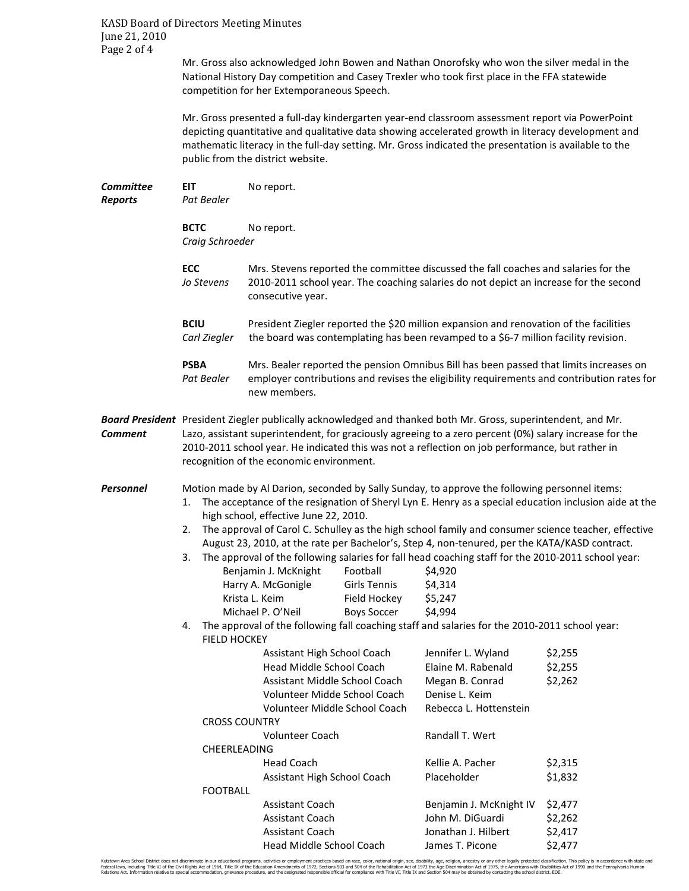KASD Board of Directors Meeting Minutes June 21, 2010 Page 2 of 4

> Mr. Gross also acknowledged John Bowen and Nathan Onorofsky who won the silver medal in the National History Day competition and Casey Trexler who took first place in the FFA statewide competition for her Extemporaneous Speech.

 Mr. Gross presented a full-day kindergarten year-end classroom assessment report via PowerPoint depicting quantitative and qualitative data showing accelerated growth in literacy development and mathematic literacy in the full-day setting. Mr. Gross indicated the presentation is available to the public from the district website.

| <b>EIT</b><br>Pat Bealer                                                                                                                                                                                     | No report.                                                                                                                                                                                                                                                                                                                                                  |                                                                                                          |                                                                                                                                                                                                                                     |                                                                                                                                                                                                                                                                                                                                                                                                                                                                                                                                                                                                                                                                                                                                                                                                                          |
|--------------------------------------------------------------------------------------------------------------------------------------------------------------------------------------------------------------|-------------------------------------------------------------------------------------------------------------------------------------------------------------------------------------------------------------------------------------------------------------------------------------------------------------------------------------------------------------|----------------------------------------------------------------------------------------------------------|-------------------------------------------------------------------------------------------------------------------------------------------------------------------------------------------------------------------------------------|--------------------------------------------------------------------------------------------------------------------------------------------------------------------------------------------------------------------------------------------------------------------------------------------------------------------------------------------------------------------------------------------------------------------------------------------------------------------------------------------------------------------------------------------------------------------------------------------------------------------------------------------------------------------------------------------------------------------------------------------------------------------------------------------------------------------------|
| <b>BCTC</b><br>No report.<br>Craig Schroeder                                                                                                                                                                 |                                                                                                                                                                                                                                                                                                                                                             |                                                                                                          |                                                                                                                                                                                                                                     |                                                                                                                                                                                                                                                                                                                                                                                                                                                                                                                                                                                                                                                                                                                                                                                                                          |
| ECC<br>Jo Stevens                                                                                                                                                                                            | consecutive year.                                                                                                                                                                                                                                                                                                                                           |                                                                                                          |                                                                                                                                                                                                                                     |                                                                                                                                                                                                                                                                                                                                                                                                                                                                                                                                                                                                                                                                                                                                                                                                                          |
| <b>BCIU</b><br>President Ziegler reported the \$20 million expansion and renovation of the facilities<br>the board was contemplating has been revamped to a \$6-7 million facility revision.<br>Carl Ziegler |                                                                                                                                                                                                                                                                                                                                                             |                                                                                                          |                                                                                                                                                                                                                                     |                                                                                                                                                                                                                                                                                                                                                                                                                                                                                                                                                                                                                                                                                                                                                                                                                          |
| <b>PSBA</b><br>Pat Bealer                                                                                                                                                                                    | Mrs. Bealer reported the pension Omnibus Bill has been passed that limits increases on<br>employer contributions and revises the eligibility requirements and contribution rates for<br>new members.                                                                                                                                                        |                                                                                                          |                                                                                                                                                                                                                                     |                                                                                                                                                                                                                                                                                                                                                                                                                                                                                                                                                                                                                                                                                                                                                                                                                          |
|                                                                                                                                                                                                              | Board President President Ziegler publically acknowledged and thanked both Mr. Gross, superintendent, and Mr.<br>Lazo, assistant superintendent, for graciously agreeing to a zero percent (0%) salary increase for the<br>2010-2011 school year. He indicated this was not a reflection on job performance, but rather in                                  |                                                                                                          |                                                                                                                                                                                                                                     |                                                                                                                                                                                                                                                                                                                                                                                                                                                                                                                                                                                                                                                                                                                                                                                                                          |
| 1.<br>2.<br>3.<br>4.                                                                                                                                                                                         | Football<br>Girls Tennis<br>Field Hockey<br><b>Boys Soccer</b>                                                                                                                                                                                                                                                                                              |                                                                                                          | \$4,920<br>\$4,314<br>\$5,247<br>\$4,994                                                                                                                                                                                            |                                                                                                                                                                                                                                                                                                                                                                                                                                                                                                                                                                                                                                                                                                                                                                                                                          |
|                                                                                                                                                                                                              | Assistant High School Coach<br>Head Middle School Coach<br>Assistant Middle School Coach<br>Volunteer Midde School Coach<br>Volunteer Middle School Coach<br><b>CROSS COUNTRY</b><br>Volunteer Coach<br>CHEERLEADING<br><b>Head Coach</b><br>Assistant High School Coach<br><b>FOOTBALL</b><br>Assistant Coach<br>Assistant Coach<br><b>Assistant Coach</b> |                                                                                                          | Jennifer L. Wyland<br>Elaine M. Rabenald<br>Megan B. Conrad<br>Denise L. Keim<br>Rebecca L. Hottenstein<br>Randall T. Wert<br>Kellie A. Pacher<br>Placeholder<br>Benjamin J. McKnight IV<br>John M. DiGuardi<br>Jonathan J. Hilbert | \$2,255<br>\$2,255<br>\$2,262<br>\$2,315<br>\$1,832<br>\$2,477<br>\$2,262<br>\$2,417<br>\$2,477                                                                                                                                                                                                                                                                                                                                                                                                                                                                                                                                                                                                                                                                                                                          |
|                                                                                                                                                                                                              |                                                                                                                                                                                                                                                                                                                                                             | Benjamin J. McKnight<br>Harry A. McGonigle<br>Krista L. Keim<br>Michael P. O'Neil<br><b>FIELD HOCKEY</b> | recognition of the economic environment.<br>high school, effective June 22, 2010.<br>Head Middle School Coach                                                                                                                       | Mrs. Stevens reported the committee discussed the fall coaches and salaries for the<br>2010-2011 school year. The coaching salaries do not depict an increase for the second<br>Motion made by Al Darion, seconded by Sally Sunday, to approve the following personnel items:<br>The acceptance of the resignation of Sheryl Lyn E. Henry as a special education inclusion aide at the<br>The approval of Carol C. Schulley as the high school family and consumer science teacher, effective<br>August 23, 2010, at the rate per Bachelor's, Step 4, non-tenured, per the KATA/KASD contract.<br>The approval of the following salaries for fall head coaching staff for the 2010-2011 school year:<br>The approval of the following fall coaching staff and salaries for the 2010-2011 school year:<br>James T. Picone |

Kutztown Area School District does not discriminate in our educational programs, activities or employment practices based on race, color, national origin, sex, disability, age, religion, ancestry or any other legally prote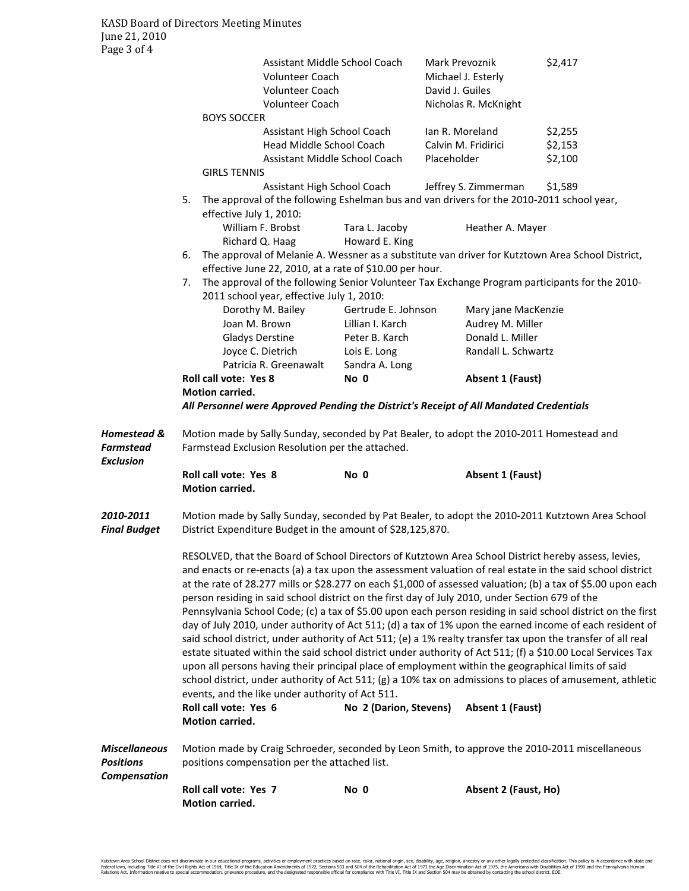| $1$ agu $J$ VI T                                               | <b>BOYS SOCCER</b>                                                                                                                                                                                                                                                                                                                                                                                                                                                                                                                                                                                                                                                                                                                                                                                                                                                                                                                                                                                                                                                                                                                                                                                                                                                 | Assistant Middle School Coach<br>Volunteer Coach<br><b>Volunteer Coach</b><br>Volunteer Coach | Mark Prevoznik<br>Michael J. Esterly<br>David J. Guiles<br>Nicholas R. McKnight | \$2,417            |  |  |  |
|----------------------------------------------------------------|--------------------------------------------------------------------------------------------------------------------------------------------------------------------------------------------------------------------------------------------------------------------------------------------------------------------------------------------------------------------------------------------------------------------------------------------------------------------------------------------------------------------------------------------------------------------------------------------------------------------------------------------------------------------------------------------------------------------------------------------------------------------------------------------------------------------------------------------------------------------------------------------------------------------------------------------------------------------------------------------------------------------------------------------------------------------------------------------------------------------------------------------------------------------------------------------------------------------------------------------------------------------|-----------------------------------------------------------------------------------------------|---------------------------------------------------------------------------------|--------------------|--|--|--|
|                                                                |                                                                                                                                                                                                                                                                                                                                                                                                                                                                                                                                                                                                                                                                                                                                                                                                                                                                                                                                                                                                                                                                                                                                                                                                                                                                    | Assistant High School Coach<br>Head Middle School Coach                                       | Ian R. Moreland<br>Calvin M. Fridirici                                          | \$2,255<br>\$2,153 |  |  |  |
|                                                                | <b>GIRLS TENNIS</b>                                                                                                                                                                                                                                                                                                                                                                                                                                                                                                                                                                                                                                                                                                                                                                                                                                                                                                                                                                                                                                                                                                                                                                                                                                                | Assistant Middle School Coach                                                                 | Placeholder                                                                     | \$2,100            |  |  |  |
|                                                                | Assistant High School Coach<br>Jeffrey S. Zimmerman<br>\$1,589<br>The approval of the following Eshelman bus and van drivers for the 2010-2011 school year,<br>5.                                                                                                                                                                                                                                                                                                                                                                                                                                                                                                                                                                                                                                                                                                                                                                                                                                                                                                                                                                                                                                                                                                  |                                                                                               |                                                                                 |                    |  |  |  |
|                                                                | effective July 1, 2010:<br>William F. Brobst<br>Richard Q. Haag                                                                                                                                                                                                                                                                                                                                                                                                                                                                                                                                                                                                                                                                                                                                                                                                                                                                                                                                                                                                                                                                                                                                                                                                    | Tara L. Jacoby<br>Howard E. King                                                              | Heather A. Mayer                                                                |                    |  |  |  |
|                                                                | The approval of Melanie A. Wessner as a substitute van driver for Kutztown Area School District,<br>6.<br>effective June 22, 2010, at a rate of \$10.00 per hour.                                                                                                                                                                                                                                                                                                                                                                                                                                                                                                                                                                                                                                                                                                                                                                                                                                                                                                                                                                                                                                                                                                  |                                                                                               |                                                                                 |                    |  |  |  |
|                                                                | The approval of the following Senior Volunteer Tax Exchange Program participants for the 2010-<br>7.<br>2011 school year, effective July 1, 2010:                                                                                                                                                                                                                                                                                                                                                                                                                                                                                                                                                                                                                                                                                                                                                                                                                                                                                                                                                                                                                                                                                                                  |                                                                                               |                                                                                 |                    |  |  |  |
|                                                                | Dorothy M. Bailey                                                                                                                                                                                                                                                                                                                                                                                                                                                                                                                                                                                                                                                                                                                                                                                                                                                                                                                                                                                                                                                                                                                                                                                                                                                  | Gertrude E. Johnson                                                                           | Mary jane MacKenzie                                                             |                    |  |  |  |
|                                                                | Joan M. Brown                                                                                                                                                                                                                                                                                                                                                                                                                                                                                                                                                                                                                                                                                                                                                                                                                                                                                                                                                                                                                                                                                                                                                                                                                                                      | Lillian I. Karch                                                                              | Audrey M. Miller                                                                |                    |  |  |  |
|                                                                | <b>Gladys Derstine</b>                                                                                                                                                                                                                                                                                                                                                                                                                                                                                                                                                                                                                                                                                                                                                                                                                                                                                                                                                                                                                                                                                                                                                                                                                                             | Peter B. Karch                                                                                | Donald L. Miller                                                                |                    |  |  |  |
|                                                                | Joyce C. Dietrich                                                                                                                                                                                                                                                                                                                                                                                                                                                                                                                                                                                                                                                                                                                                                                                                                                                                                                                                                                                                                                                                                                                                                                                                                                                  | Lois E. Long                                                                                  | Randall L. Schwartz                                                             |                    |  |  |  |
|                                                                | Patricia R. Greenawalt<br><b>Roll call vote: Yes 8</b>                                                                                                                                                                                                                                                                                                                                                                                                                                                                                                                                                                                                                                                                                                                                                                                                                                                                                                                                                                                                                                                                                                                                                                                                             | Sandra A. Long<br>No 0                                                                        | Absent 1 (Faust)                                                                |                    |  |  |  |
|                                                                | <b>Motion carried.</b>                                                                                                                                                                                                                                                                                                                                                                                                                                                                                                                                                                                                                                                                                                                                                                                                                                                                                                                                                                                                                                                                                                                                                                                                                                             |                                                                                               |                                                                                 |                    |  |  |  |
|                                                                | All Personnel were Approved Pending the District's Receipt of All Mandated Credentials                                                                                                                                                                                                                                                                                                                                                                                                                                                                                                                                                                                                                                                                                                                                                                                                                                                                                                                                                                                                                                                                                                                                                                             |                                                                                               |                                                                                 |                    |  |  |  |
| <b>Homestead &amp;</b><br><b>Farmstead</b><br><b>Exclusion</b> | Motion made by Sally Sunday, seconded by Pat Bealer, to adopt the 2010-2011 Homestead and<br>Farmstead Exclusion Resolution per the attached.                                                                                                                                                                                                                                                                                                                                                                                                                                                                                                                                                                                                                                                                                                                                                                                                                                                                                                                                                                                                                                                                                                                      |                                                                                               |                                                                                 |                    |  |  |  |
|                                                                | <b>Roll call vote: Yes 8</b><br><b>Motion carried.</b>                                                                                                                                                                                                                                                                                                                                                                                                                                                                                                                                                                                                                                                                                                                                                                                                                                                                                                                                                                                                                                                                                                                                                                                                             | No 0                                                                                          | Absent 1 (Faust)                                                                |                    |  |  |  |
| 2010-2011<br><b>Final Budget</b>                               | Motion made by Sally Sunday, seconded by Pat Bealer, to adopt the 2010-2011 Kutztown Area School<br>District Expenditure Budget in the amount of \$28,125,870.                                                                                                                                                                                                                                                                                                                                                                                                                                                                                                                                                                                                                                                                                                                                                                                                                                                                                                                                                                                                                                                                                                     |                                                                                               |                                                                                 |                    |  |  |  |
|                                                                | RESOLVED, that the Board of School Directors of Kutztown Area School District hereby assess, levies,<br>and enacts or re-enacts (a) a tax upon the assessment valuation of real estate in the said school district<br>at the rate of 28.277 mills or \$28.277 on each \$1,000 of assessed valuation; (b) a tax of \$5.00 upon each<br>person residing in said school district on the first day of July 2010, under Section 679 of the<br>Pennsylvania School Code; (c) a tax of \$5.00 upon each person residing in said school district on the first<br>day of July 2010, under authority of Act 511; (d) a tax of 1% upon the earned income of each resident of<br>said school district, under authority of Act 511; (e) a 1% realty transfer tax upon the transfer of all real<br>estate situated within the said school district under authority of Act 511; (f) a \$10.00 Local Services Tax<br>upon all persons having their principal place of employment within the geographical limits of said<br>school district, under authority of Act 511; (g) a 10% tax on admissions to places of amusement, athletic<br>events, and the like under authority of Act 511.<br>Roll call vote: Yes 6<br>No 2 (Darion, Stevens)<br>Absent 1 (Faust)<br>Motion carried. |                                                                                               |                                                                                 |                    |  |  |  |
| <b>Miscellaneous</b><br><b>Positions</b><br>Compensation       | Motion made by Craig Schroeder, seconded by Leon Smith, to approve the 2010-2011 miscellaneous<br>positions compensation per the attached list.                                                                                                                                                                                                                                                                                                                                                                                                                                                                                                                                                                                                                                                                                                                                                                                                                                                                                                                                                                                                                                                                                                                    |                                                                                               |                                                                                 |                    |  |  |  |
|                                                                | Roll call vote: Yes 7<br>Motion carried.                                                                                                                                                                                                                                                                                                                                                                                                                                                                                                                                                                                                                                                                                                                                                                                                                                                                                                                                                                                                                                                                                                                                                                                                                           | No 0                                                                                          | Absent 2 (Faust, Ho)                                                            |                    |  |  |  |